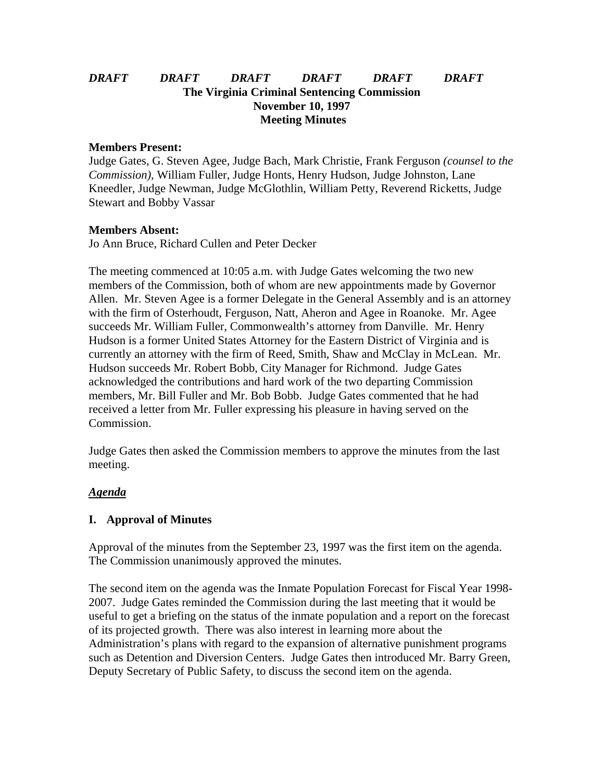# *DRAFT DRAFT DRAFT DRAFT DRAFT DRAFT* **The Virginia Criminal Sentencing Commission November 10, 1997 Meeting Minutes**

#### **Members Present:**

Judge Gates, G. Steven Agee, Judge Bach, Mark Christie, Frank Ferguson *(counsel to the Commission),* William Fuller, Judge Honts, Henry Hudson, Judge Johnston, Lane Kneedler, Judge Newman, Judge McGlothlin, William Petty, Reverend Ricketts, Judge Stewart and Bobby Vassar

### **Members Absent:**

Jo Ann Bruce, Richard Cullen and Peter Decker

The meeting commenced at 10:05 a.m. with Judge Gates welcoming the two new members of the Commission, both of whom are new appointments made by Governor Allen. Mr. Steven Agee is a former Delegate in the General Assembly and is an attorney with the firm of Osterhoudt, Ferguson, Natt, Aheron and Agee in Roanoke. Mr. Agee succeeds Mr. William Fuller, Commonwealth's attorney from Danville. Mr. Henry Hudson is a former United States Attorney for the Eastern District of Virginia and is currently an attorney with the firm of Reed, Smith, Shaw and McClay in McLean. Mr. Hudson succeeds Mr. Robert Bobb, City Manager for Richmond. Judge Gates acknowledged the contributions and hard work of the two departing Commission members, Mr. Bill Fuller and Mr. Bob Bobb. Judge Gates commented that he had received a letter from Mr. Fuller expressing his pleasure in having served on the Commission.

Judge Gates then asked the Commission members to approve the minutes from the last meeting.

### *Agenda*

### **I. Approval of Minutes**

Approval of the minutes from the September 23, 1997 was the first item on the agenda. The Commission unanimously approved the minutes.

The second item on the agenda was the Inmate Population Forecast for Fiscal Year 1998- 2007. Judge Gates reminded the Commission during the last meeting that it would be useful to get a briefing on the status of the inmate population and a report on the forecast of its projected growth. There was also interest in learning more about the Administration's plans with regard to the expansion of alternative punishment programs such as Detention and Diversion Centers. Judge Gates then introduced Mr. Barry Green, Deputy Secretary of Public Safety, to discuss the second item on the agenda.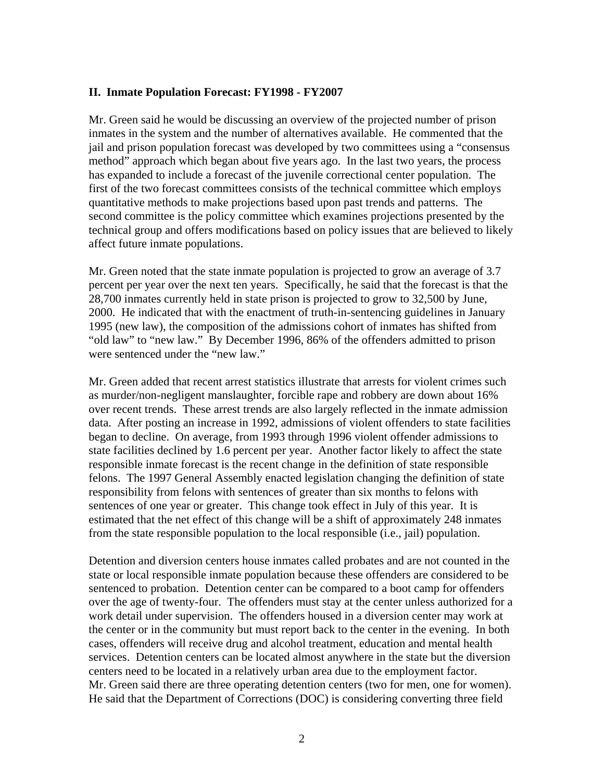#### **II. Inmate Population Forecast: FY1998 - FY2007**

Mr. Green said he would be discussing an overview of the projected number of prison inmates in the system and the number of alternatives available. He commented that the jail and prison population forecast was developed by two committees using a "consensus method" approach which began about five years ago. In the last two years, the process has expanded to include a forecast of the juvenile correctional center population. The first of the two forecast committees consists of the technical committee which employs quantitative methods to make projections based upon past trends and patterns. The second committee is the policy committee which examines projections presented by the technical group and offers modifications based on policy issues that are believed to likely affect future inmate populations.

Mr. Green noted that the state inmate population is projected to grow an average of 3.7 percent per year over the next ten years. Specifically, he said that the forecast is that the 28,700 inmates currently held in state prison is projected to grow to 32,500 by June, 2000. He indicated that with the enactment of truth-in-sentencing guidelines in January 1995 (new law), the composition of the admissions cohort of inmates has shifted from "old law" to "new law." By December 1996, 86% of the offenders admitted to prison were sentenced under the "new law."

Mr. Green added that recent arrest statistics illustrate that arrests for violent crimes such as murder/non-negligent manslaughter, forcible rape and robbery are down about 16% over recent trends. These arrest trends are also largely reflected in the inmate admission data. After posting an increase in 1992, admissions of violent offenders to state facilities began to decline. On average, from 1993 through 1996 violent offender admissions to state facilities declined by 1.6 percent per year. Another factor likely to affect the state responsible inmate forecast is the recent change in the definition of state responsible felons. The 1997 General Assembly enacted legislation changing the definition of state responsibility from felons with sentences of greater than six months to felons with sentences of one year or greater. This change took effect in July of this year. It is estimated that the net effect of this change will be a shift of approximately 248 inmates from the state responsible population to the local responsible (i.e., jail) population.

Detention and diversion centers house inmates called probates and are not counted in the state or local responsible inmate population because these offenders are considered to be sentenced to probation. Detention center can be compared to a boot camp for offenders over the age of twenty-four. The offenders must stay at the center unless authorized for a work detail under supervision. The offenders housed in a diversion center may work at the center or in the community but must report back to the center in the evening. In both cases, offenders will receive drug and alcohol treatment, education and mental health services. Detention centers can be located almost anywhere in the state but the diversion centers need to be located in a relatively urban area due to the employment factor. Mr. Green said there are three operating detention centers (two for men, one for women). He said that the Department of Corrections (DOC) is considering converting three field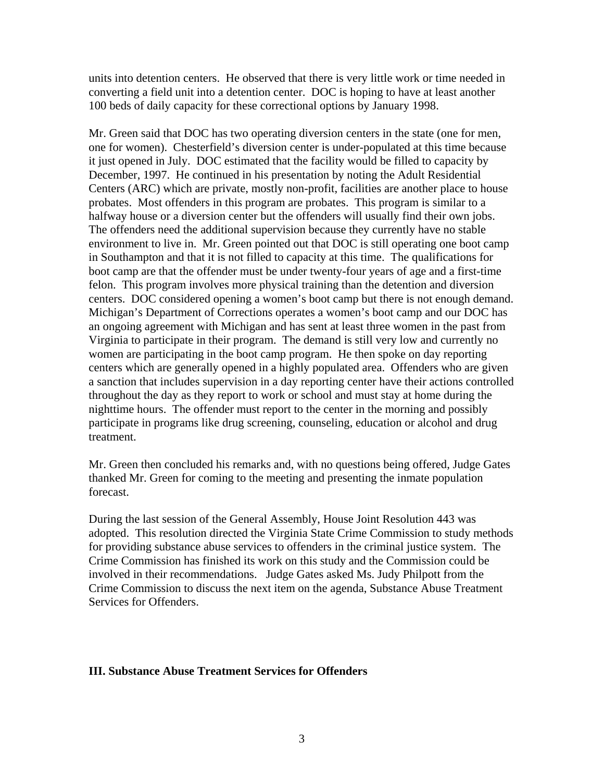units into detention centers. He observed that there is very little work or time needed in converting a field unit into a detention center. DOC is hoping to have at least another 100 beds of daily capacity for these correctional options by January 1998.

Mr. Green said that DOC has two operating diversion centers in the state (one for men, one for women). Chesterfield's diversion center is under-populated at this time because it just opened in July. DOC estimated that the facility would be filled to capacity by December, 1997. He continued in his presentation by noting the Adult Residential Centers (ARC) which are private, mostly non-profit, facilities are another place to house probates. Most offenders in this program are probates. This program is similar to a halfway house or a diversion center but the offenders will usually find their own jobs. The offenders need the additional supervision because they currently have no stable environment to live in. Mr. Green pointed out that DOC is still operating one boot camp in Southampton and that it is not filled to capacity at this time. The qualifications for boot camp are that the offender must be under twenty-four years of age and a first-time felon. This program involves more physical training than the detention and diversion centers. DOC considered opening a women's boot camp but there is not enough demand. Michigan's Department of Corrections operates a women's boot camp and our DOC has an ongoing agreement with Michigan and has sent at least three women in the past from Virginia to participate in their program. The demand is still very low and currently no women are participating in the boot camp program. He then spoke on day reporting centers which are generally opened in a highly populated area. Offenders who are given a sanction that includes supervision in a day reporting center have their actions controlled throughout the day as they report to work or school and must stay at home during the nighttime hours. The offender must report to the center in the morning and possibly participate in programs like drug screening, counseling, education or alcohol and drug treatment.

Mr. Green then concluded his remarks and, with no questions being offered, Judge Gates thanked Mr. Green for coming to the meeting and presenting the inmate population forecast.

During the last session of the General Assembly, House Joint Resolution 443 was adopted. This resolution directed the Virginia State Crime Commission to study methods for providing substance abuse services to offenders in the criminal justice system. The Crime Commission has finished its work on this study and the Commission could be involved in their recommendations. Judge Gates asked Ms. Judy Philpott from the Crime Commission to discuss the next item on the agenda, Substance Abuse Treatment Services for Offenders.

### **III. Substance Abuse Treatment Services for Offenders**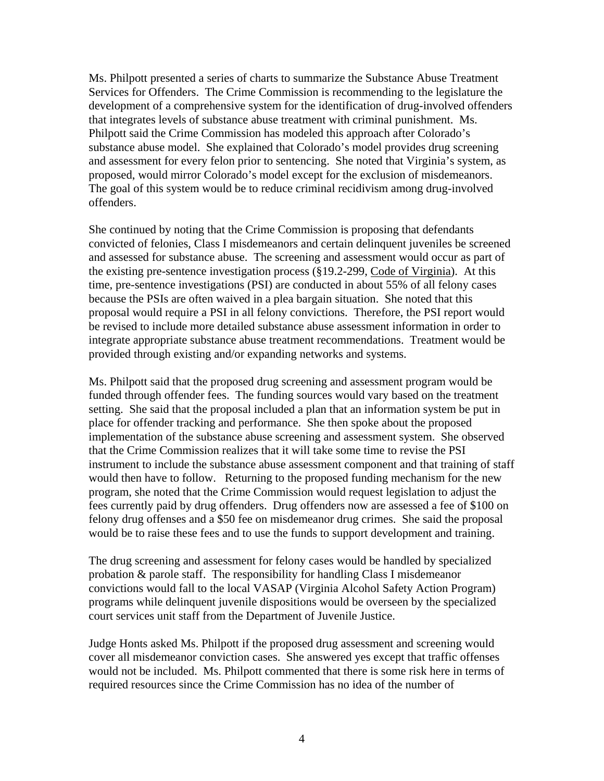Ms. Philpott presented a series of charts to summarize the Substance Abuse Treatment Services for Offenders. The Crime Commission is recommending to the legislature the development of a comprehensive system for the identification of drug-involved offenders that integrates levels of substance abuse treatment with criminal punishment. Ms. Philpott said the Crime Commission has modeled this approach after Colorado's substance abuse model. She explained that Colorado's model provides drug screening and assessment for every felon prior to sentencing. She noted that Virginia's system, as proposed, would mirror Colorado's model except for the exclusion of misdemeanors. The goal of this system would be to reduce criminal recidivism among drug-involved offenders.

She continued by noting that the Crime Commission is proposing that defendants convicted of felonies, Class I misdemeanors and certain delinquent juveniles be screened and assessed for substance abuse. The screening and assessment would occur as part of the existing pre-sentence investigation process (§19.2-299, Code of Virginia). At this time, pre-sentence investigations (PSI) are conducted in about 55% of all felony cases because the PSIs are often waived in a plea bargain situation. She noted that this proposal would require a PSI in all felony convictions. Therefore, the PSI report would be revised to include more detailed substance abuse assessment information in order to integrate appropriate substance abuse treatment recommendations. Treatment would be provided through existing and/or expanding networks and systems.

Ms. Philpott said that the proposed drug screening and assessment program would be funded through offender fees. The funding sources would vary based on the treatment setting. She said that the proposal included a plan that an information system be put in place for offender tracking and performance. She then spoke about the proposed implementation of the substance abuse screening and assessment system. She observed that the Crime Commission realizes that it will take some time to revise the PSI instrument to include the substance abuse assessment component and that training of staff would then have to follow. Returning to the proposed funding mechanism for the new program, she noted that the Crime Commission would request legislation to adjust the fees currently paid by drug offenders. Drug offenders now are assessed a fee of \$100 on felony drug offenses and a \$50 fee on misdemeanor drug crimes. She said the proposal would be to raise these fees and to use the funds to support development and training.

The drug screening and assessment for felony cases would be handled by specialized probation & parole staff. The responsibility for handling Class I misdemeanor convictions would fall to the local VASAP (Virginia Alcohol Safety Action Program) programs while delinquent juvenile dispositions would be overseen by the specialized court services unit staff from the Department of Juvenile Justice.

Judge Honts asked Ms. Philpott if the proposed drug assessment and screening would cover all misdemeanor conviction cases. She answered yes except that traffic offenses would not be included. Ms. Philpott commented that there is some risk here in terms of required resources since the Crime Commission has no idea of the number of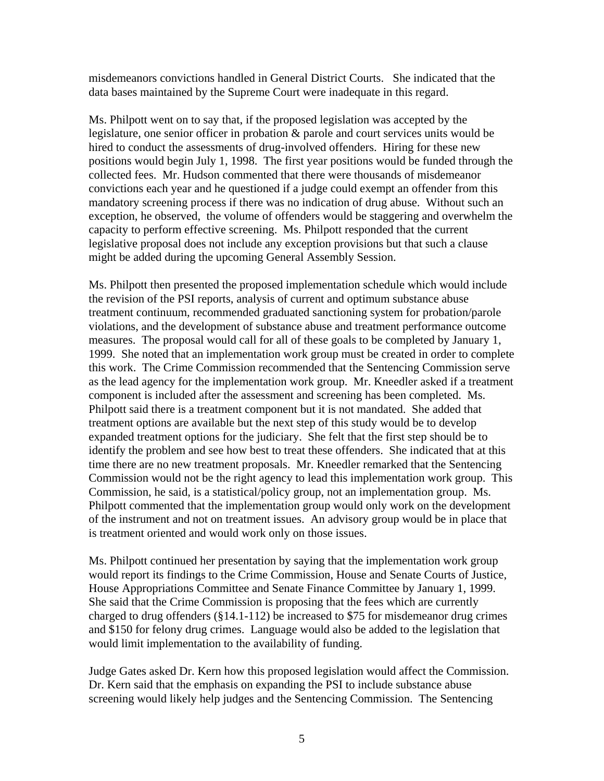misdemeanors convictions handled in General District Courts. She indicated that the data bases maintained by the Supreme Court were inadequate in this regard.

Ms. Philpott went on to say that, if the proposed legislation was accepted by the legislature, one senior officer in probation & parole and court services units would be hired to conduct the assessments of drug-involved offenders. Hiring for these new positions would begin July 1, 1998. The first year positions would be funded through the collected fees. Mr. Hudson commented that there were thousands of misdemeanor convictions each year and he questioned if a judge could exempt an offender from this mandatory screening process if there was no indication of drug abuse. Without such an exception, he observed, the volume of offenders would be staggering and overwhelm the capacity to perform effective screening. Ms. Philpott responded that the current legislative proposal does not include any exception provisions but that such a clause might be added during the upcoming General Assembly Session.

Ms. Philpott then presented the proposed implementation schedule which would include the revision of the PSI reports, analysis of current and optimum substance abuse treatment continuum, recommended graduated sanctioning system for probation/parole violations, and the development of substance abuse and treatment performance outcome measures. The proposal would call for all of these goals to be completed by January 1, 1999. She noted that an implementation work group must be created in order to complete this work. The Crime Commission recommended that the Sentencing Commission serve as the lead agency for the implementation work group. Mr. Kneedler asked if a treatment component is included after the assessment and screening has been completed. Ms. Philpott said there is a treatment component but it is not mandated. She added that treatment options are available but the next step of this study would be to develop expanded treatment options for the judiciary. She felt that the first step should be to identify the problem and see how best to treat these offenders. She indicated that at this time there are no new treatment proposals. Mr. Kneedler remarked that the Sentencing Commission would not be the right agency to lead this implementation work group. This Commission, he said, is a statistical/policy group, not an implementation group. Ms. Philpott commented that the implementation group would only work on the development of the instrument and not on treatment issues. An advisory group would be in place that is treatment oriented and would work only on those issues.

Ms. Philpott continued her presentation by saying that the implementation work group would report its findings to the Crime Commission, House and Senate Courts of Justice, House Appropriations Committee and Senate Finance Committee by January 1, 1999. She said that the Crime Commission is proposing that the fees which are currently charged to drug offenders (§14.1-112) be increased to \$75 for misdemeanor drug crimes and \$150 for felony drug crimes. Language would also be added to the legislation that would limit implementation to the availability of funding.

Judge Gates asked Dr. Kern how this proposed legislation would affect the Commission. Dr. Kern said that the emphasis on expanding the PSI to include substance abuse screening would likely help judges and the Sentencing Commission. The Sentencing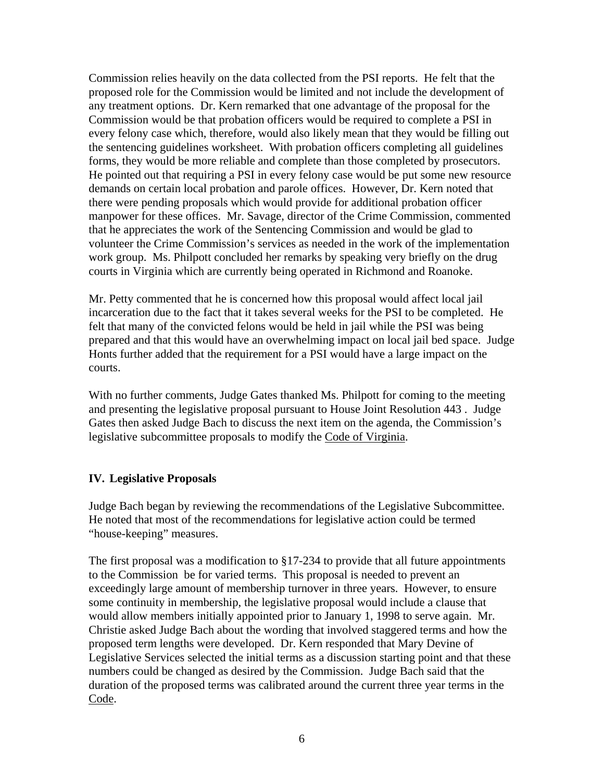Commission relies heavily on the data collected from the PSI reports. He felt that the proposed role for the Commission would be limited and not include the development of any treatment options. Dr. Kern remarked that one advantage of the proposal for the Commission would be that probation officers would be required to complete a PSI in every felony case which, therefore, would also likely mean that they would be filling out the sentencing guidelines worksheet. With probation officers completing all guidelines forms, they would be more reliable and complete than those completed by prosecutors. He pointed out that requiring a PSI in every felony case would be put some new resource demands on certain local probation and parole offices. However, Dr. Kern noted that there were pending proposals which would provide for additional probation officer manpower for these offices. Mr. Savage, director of the Crime Commission, commented that he appreciates the work of the Sentencing Commission and would be glad to volunteer the Crime Commission's services as needed in the work of the implementation work group. Ms. Philpott concluded her remarks by speaking very briefly on the drug courts in Virginia which are currently being operated in Richmond and Roanoke.

Mr. Petty commented that he is concerned how this proposal would affect local jail incarceration due to the fact that it takes several weeks for the PSI to be completed. He felt that many of the convicted felons would be held in jail while the PSI was being prepared and that this would have an overwhelming impact on local jail bed space. Judge Honts further added that the requirement for a PSI would have a large impact on the courts.

With no further comments, Judge Gates thanked Ms. Philpott for coming to the meeting and presenting the legislative proposal pursuant to House Joint Resolution 443 . Judge Gates then asked Judge Bach to discuss the next item on the agenda, the Commission's legislative subcommittee proposals to modify the Code of Virginia.

### **IV. Legislative Proposals**

Judge Bach began by reviewing the recommendations of the Legislative Subcommittee. He noted that most of the recommendations for legislative action could be termed "house-keeping" measures.

The first proposal was a modification to  $\S17-234$  to provide that all future appointments to the Commission be for varied terms. This proposal is needed to prevent an exceedingly large amount of membership turnover in three years. However, to ensure some continuity in membership, the legislative proposal would include a clause that would allow members initially appointed prior to January 1, 1998 to serve again. Mr. Christie asked Judge Bach about the wording that involved staggered terms and how the proposed term lengths were developed. Dr. Kern responded that Mary Devine of Legislative Services selected the initial terms as a discussion starting point and that these numbers could be changed as desired by the Commission. Judge Bach said that the duration of the proposed terms was calibrated around the current three year terms in the Code.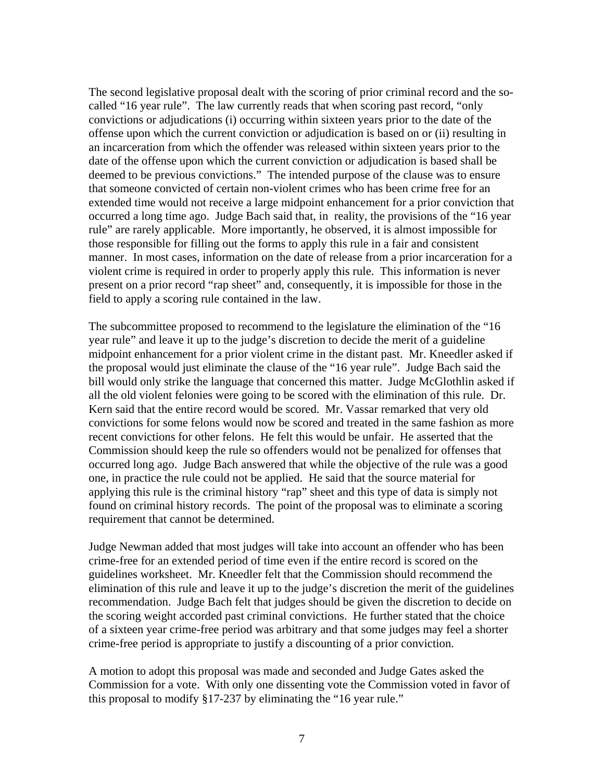The second legislative proposal dealt with the scoring of prior criminal record and the socalled "16 year rule". The law currently reads that when scoring past record, "only convictions or adjudications (i) occurring within sixteen years prior to the date of the offense upon which the current conviction or adjudication is based on or (ii) resulting in an incarceration from which the offender was released within sixteen years prior to the date of the offense upon which the current conviction or adjudication is based shall be deemed to be previous convictions." The intended purpose of the clause was to ensure that someone convicted of certain non-violent crimes who has been crime free for an extended time would not receive a large midpoint enhancement for a prior conviction that occurred a long time ago. Judge Bach said that, in reality, the provisions of the "16 year rule" are rarely applicable. More importantly, he observed, it is almost impossible for those responsible for filling out the forms to apply this rule in a fair and consistent manner. In most cases, information on the date of release from a prior incarceration for a violent crime is required in order to properly apply this rule. This information is never present on a prior record "rap sheet" and, consequently, it is impossible for those in the field to apply a scoring rule contained in the law.

The subcommittee proposed to recommend to the legislature the elimination of the "16 year rule" and leave it up to the judge's discretion to decide the merit of a guideline midpoint enhancement for a prior violent crime in the distant past. Mr. Kneedler asked if the proposal would just eliminate the clause of the "16 year rule". Judge Bach said the bill would only strike the language that concerned this matter. Judge McGlothlin asked if all the old violent felonies were going to be scored with the elimination of this rule. Dr. Kern said that the entire record would be scored. Mr. Vassar remarked that very old convictions for some felons would now be scored and treated in the same fashion as more recent convictions for other felons. He felt this would be unfair. He asserted that the Commission should keep the rule so offenders would not be penalized for offenses that occurred long ago. Judge Bach answered that while the objective of the rule was a good one, in practice the rule could not be applied. He said that the source material for applying this rule is the criminal history "rap" sheet and this type of data is simply not found on criminal history records. The point of the proposal was to eliminate a scoring requirement that cannot be determined.

Judge Newman added that most judges will take into account an offender who has been crime-free for an extended period of time even if the entire record is scored on the guidelines worksheet. Mr. Kneedler felt that the Commission should recommend the elimination of this rule and leave it up to the judge's discretion the merit of the guidelines recommendation. Judge Bach felt that judges should be given the discretion to decide on the scoring weight accorded past criminal convictions. He further stated that the choice of a sixteen year crime-free period was arbitrary and that some judges may feel a shorter crime-free period is appropriate to justify a discounting of a prior conviction.

A motion to adopt this proposal was made and seconded and Judge Gates asked the Commission for a vote. With only one dissenting vote the Commission voted in favor of this proposal to modify §17-237 by eliminating the "16 year rule."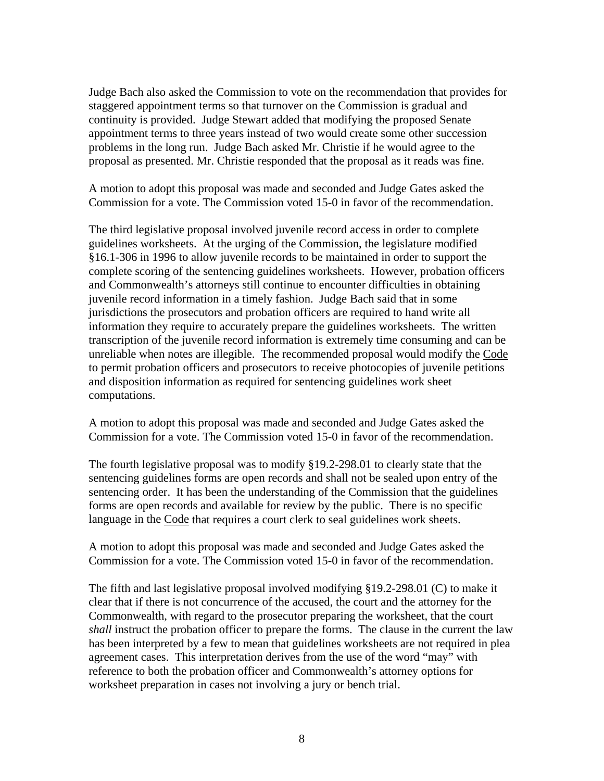Judge Bach also asked the Commission to vote on the recommendation that provides for staggered appointment terms so that turnover on the Commission is gradual and continuity is provided. Judge Stewart added that modifying the proposed Senate appointment terms to three years instead of two would create some other succession problems in the long run. Judge Bach asked Mr. Christie if he would agree to the proposal as presented. Mr. Christie responded that the proposal as it reads was fine.

A motion to adopt this proposal was made and seconded and Judge Gates asked the Commission for a vote. The Commission voted 15-0 in favor of the recommendation.

The third legislative proposal involved juvenile record access in order to complete guidelines worksheets. At the urging of the Commission, the legislature modified §16.1-306 in 1996 to allow juvenile records to be maintained in order to support the complete scoring of the sentencing guidelines worksheets. However, probation officers and Commonwealth's attorneys still continue to encounter difficulties in obtaining juvenile record information in a timely fashion. Judge Bach said that in some jurisdictions the prosecutors and probation officers are required to hand write all information they require to accurately prepare the guidelines worksheets. The written transcription of the juvenile record information is extremely time consuming and can be unreliable when notes are illegible. The recommended proposal would modify the Code to permit probation officers and prosecutors to receive photocopies of juvenile petitions and disposition information as required for sentencing guidelines work sheet computations.

A motion to adopt this proposal was made and seconded and Judge Gates asked the Commission for a vote. The Commission voted 15-0 in favor of the recommendation.

The fourth legislative proposal was to modify §19.2-298.01 to clearly state that the sentencing guidelines forms are open records and shall not be sealed upon entry of the sentencing order. It has been the understanding of the Commission that the guidelines forms are open records and available for review by the public. There is no specific language in the Code that requires a court clerk to seal guidelines work sheets.

A motion to adopt this proposal was made and seconded and Judge Gates asked the Commission for a vote. The Commission voted 15-0 in favor of the recommendation.

The fifth and last legislative proposal involved modifying §19.2-298.01 (C) to make it clear that if there is not concurrence of the accused, the court and the attorney for the Commonwealth, with regard to the prosecutor preparing the worksheet, that the court *shall* instruct the probation officer to prepare the forms. The clause in the current the law has been interpreted by a few to mean that guidelines worksheets are not required in plea agreement cases. This interpretation derives from the use of the word "may" with reference to both the probation officer and Commonwealth's attorney options for worksheet preparation in cases not involving a jury or bench trial.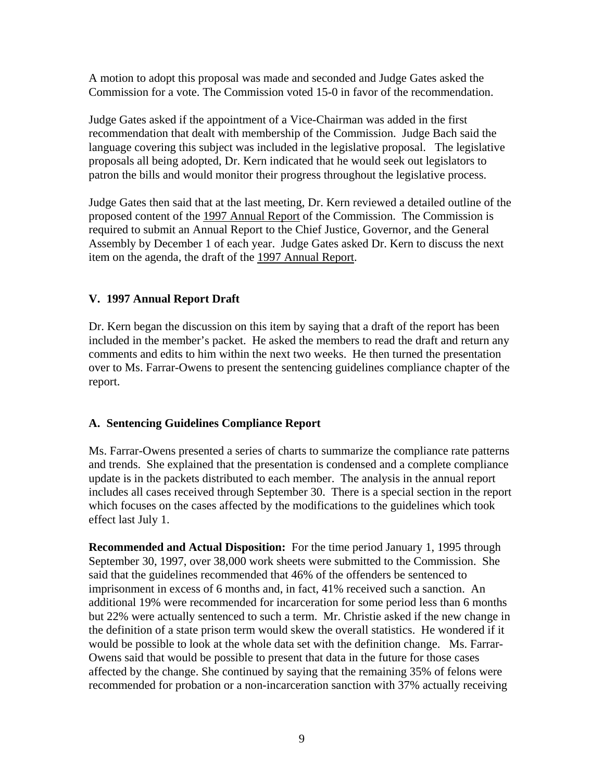A motion to adopt this proposal was made and seconded and Judge Gates asked the Commission for a vote. The Commission voted 15-0 in favor of the recommendation.

Judge Gates asked if the appointment of a Vice-Chairman was added in the first recommendation that dealt with membership of the Commission. Judge Bach said the language covering this subject was included in the legislative proposal. The legislative proposals all being adopted, Dr. Kern indicated that he would seek out legislators to patron the bills and would monitor their progress throughout the legislative process.

Judge Gates then said that at the last meeting, Dr. Kern reviewed a detailed outline of the proposed content of the 1997 Annual Report of the Commission. The Commission is required to submit an Annual Report to the Chief Justice, Governor, and the General Assembly by December 1 of each year. Judge Gates asked Dr. Kern to discuss the next item on the agenda, the draft of the 1997 Annual Report.

### **V. 1997 Annual Report Draft**

Dr. Kern began the discussion on this item by saying that a draft of the report has been included in the member's packet. He asked the members to read the draft and return any comments and edits to him within the next two weeks. He then turned the presentation over to Ms. Farrar-Owens to present the sentencing guidelines compliance chapter of the report.

# **A. Sentencing Guidelines Compliance Report**

Ms. Farrar-Owens presented a series of charts to summarize the compliance rate patterns and trends. She explained that the presentation is condensed and a complete compliance update is in the packets distributed to each member. The analysis in the annual report includes all cases received through September 30. There is a special section in the report which focuses on the cases affected by the modifications to the guidelines which took effect last July 1.

**Recommended and Actual Disposition:** For the time period January 1, 1995 through September 30, 1997, over 38,000 work sheets were submitted to the Commission. She said that the guidelines recommended that 46% of the offenders be sentenced to imprisonment in excess of 6 months and, in fact, 41% received such a sanction. An additional 19% were recommended for incarceration for some period less than 6 months but 22% were actually sentenced to such a term. Mr. Christie asked if the new change in the definition of a state prison term would skew the overall statistics. He wondered if it would be possible to look at the whole data set with the definition change. Ms. Farrar-Owens said that would be possible to present that data in the future for those cases affected by the change. She continued by saying that the remaining 35% of felons were recommended for probation or a non-incarceration sanction with 37% actually receiving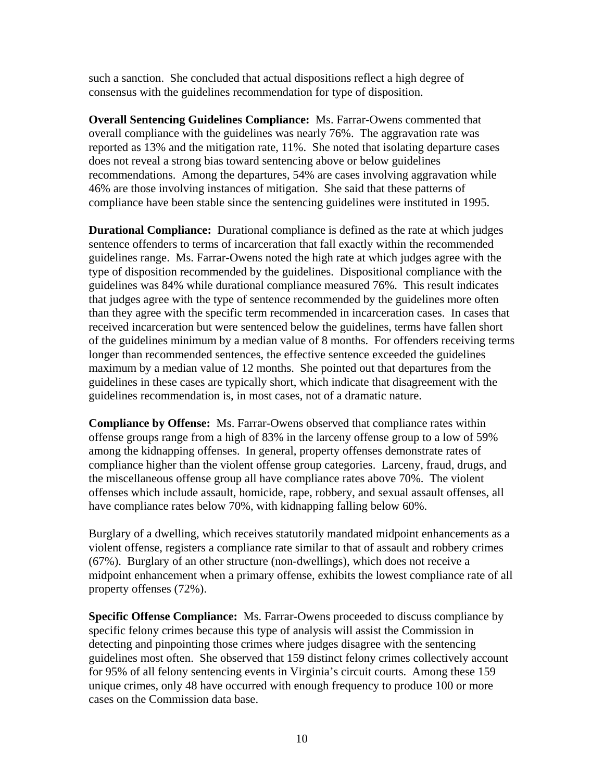such a sanction. She concluded that actual dispositions reflect a high degree of consensus with the guidelines recommendation for type of disposition.

**Overall Sentencing Guidelines Compliance:** Ms. Farrar-Owens commented that overall compliance with the guidelines was nearly 76%. The aggravation rate was reported as 13% and the mitigation rate, 11%. She noted that isolating departure cases does not reveal a strong bias toward sentencing above or below guidelines recommendations. Among the departures, 54% are cases involving aggravation while 46% are those involving instances of mitigation. She said that these patterns of compliance have been stable since the sentencing guidelines were instituted in 1995.

**Durational Compliance:** Durational compliance is defined as the rate at which judges sentence offenders to terms of incarceration that fall exactly within the recommended guidelines range. Ms. Farrar-Owens noted the high rate at which judges agree with the type of disposition recommended by the guidelines. Dispositional compliance with the guidelines was 84% while durational compliance measured 76%. This result indicates that judges agree with the type of sentence recommended by the guidelines more often than they agree with the specific term recommended in incarceration cases. In cases that received incarceration but were sentenced below the guidelines, terms have fallen short of the guidelines minimum by a median value of 8 months. For offenders receiving terms longer than recommended sentences, the effective sentence exceeded the guidelines maximum by a median value of 12 months. She pointed out that departures from the guidelines in these cases are typically short, which indicate that disagreement with the guidelines recommendation is, in most cases, not of a dramatic nature.

**Compliance by Offense:** Ms. Farrar-Owens observed that compliance rates within offense groups range from a high of 83% in the larceny offense group to a low of 59% among the kidnapping offenses. In general, property offenses demonstrate rates of compliance higher than the violent offense group categories. Larceny, fraud, drugs, and the miscellaneous offense group all have compliance rates above 70%. The violent offenses which include assault, homicide, rape, robbery, and sexual assault offenses, all have compliance rates below 70%, with kidnapping falling below 60%.

Burglary of a dwelling, which receives statutorily mandated midpoint enhancements as a violent offense, registers a compliance rate similar to that of assault and robbery crimes (67%). Burglary of an other structure (non-dwellings), which does not receive a midpoint enhancement when a primary offense, exhibits the lowest compliance rate of all property offenses (72%).

**Specific Offense Compliance:** Ms. Farrar-Owens proceeded to discuss compliance by specific felony crimes because this type of analysis will assist the Commission in detecting and pinpointing those crimes where judges disagree with the sentencing guidelines most often. She observed that 159 distinct felony crimes collectively account for 95% of all felony sentencing events in Virginia's circuit courts. Among these 159 unique crimes, only 48 have occurred with enough frequency to produce 100 or more cases on the Commission data base.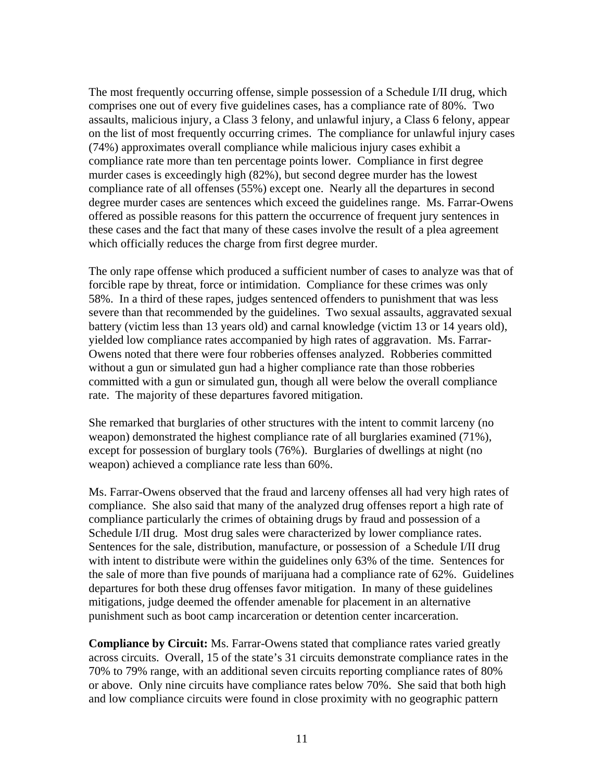The most frequently occurring offense, simple possession of a Schedule I/II drug, which comprises one out of every five guidelines cases, has a compliance rate of 80%. Two assaults, malicious injury, a Class 3 felony, and unlawful injury, a Class 6 felony, appear on the list of most frequently occurring crimes. The compliance for unlawful injury cases (74%) approximates overall compliance while malicious injury cases exhibit a compliance rate more than ten percentage points lower. Compliance in first degree murder cases is exceedingly high (82%), but second degree murder has the lowest compliance rate of all offenses (55%) except one. Nearly all the departures in second degree murder cases are sentences which exceed the guidelines range. Ms. Farrar-Owens offered as possible reasons for this pattern the occurrence of frequent jury sentences in these cases and the fact that many of these cases involve the result of a plea agreement which officially reduces the charge from first degree murder.

The only rape offense which produced a sufficient number of cases to analyze was that of forcible rape by threat, force or intimidation. Compliance for these crimes was only 58%. In a third of these rapes, judges sentenced offenders to punishment that was less severe than that recommended by the guidelines. Two sexual assaults, aggravated sexual battery (victim less than 13 years old) and carnal knowledge (victim 13 or 14 years old), yielded low compliance rates accompanied by high rates of aggravation. Ms. Farrar-Owens noted that there were four robberies offenses analyzed. Robberies committed without a gun or simulated gun had a higher compliance rate than those robberies committed with a gun or simulated gun, though all were below the overall compliance rate. The majority of these departures favored mitigation.

She remarked that burglaries of other structures with the intent to commit larceny (no weapon) demonstrated the highest compliance rate of all burglaries examined (71%), except for possession of burglary tools (76%). Burglaries of dwellings at night (no weapon) achieved a compliance rate less than 60%.

Ms. Farrar-Owens observed that the fraud and larceny offenses all had very high rates of compliance. She also said that many of the analyzed drug offenses report a high rate of compliance particularly the crimes of obtaining drugs by fraud and possession of a Schedule I/II drug. Most drug sales were characterized by lower compliance rates. Sentences for the sale, distribution, manufacture, or possession of a Schedule I/II drug with intent to distribute were within the guidelines only 63% of the time. Sentences for the sale of more than five pounds of marijuana had a compliance rate of 62%. Guidelines departures for both these drug offenses favor mitigation. In many of these guidelines mitigations, judge deemed the offender amenable for placement in an alternative punishment such as boot camp incarceration or detention center incarceration.

**Compliance by Circuit:** Ms. Farrar-Owens stated that compliance rates varied greatly across circuits. Overall, 15 of the state's 31 circuits demonstrate compliance rates in the 70% to 79% range, with an additional seven circuits reporting compliance rates of 80% or above. Only nine circuits have compliance rates below 70%. She said that both high and low compliance circuits were found in close proximity with no geographic pattern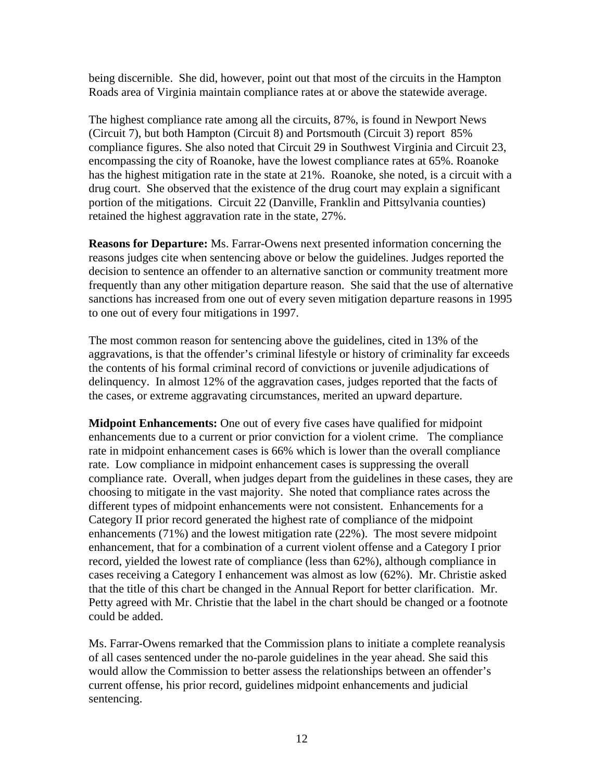being discernible. She did, however, point out that most of the circuits in the Hampton Roads area of Virginia maintain compliance rates at or above the statewide average.

The highest compliance rate among all the circuits, 87%, is found in Newport News (Circuit 7), but both Hampton (Circuit 8) and Portsmouth (Circuit 3) report 85% compliance figures. She also noted that Circuit 29 in Southwest Virginia and Circuit 23, encompassing the city of Roanoke, have the lowest compliance rates at 65%. Roanoke has the highest mitigation rate in the state at 21%. Roanoke, she noted, is a circuit with a drug court. She observed that the existence of the drug court may explain a significant portion of the mitigations. Circuit 22 (Danville, Franklin and Pittsylvania counties) retained the highest aggravation rate in the state, 27%.

**Reasons for Departure:** Ms. Farrar-Owens next presented information concerning the reasons judges cite when sentencing above or below the guidelines. Judges reported the decision to sentence an offender to an alternative sanction or community treatment more frequently than any other mitigation departure reason. She said that the use of alternative sanctions has increased from one out of every seven mitigation departure reasons in 1995 to one out of every four mitigations in 1997.

The most common reason for sentencing above the guidelines, cited in 13% of the aggravations, is that the offender's criminal lifestyle or history of criminality far exceeds the contents of his formal criminal record of convictions or juvenile adjudications of delinquency. In almost 12% of the aggravation cases, judges reported that the facts of the cases, or extreme aggravating circumstances, merited an upward departure.

**Midpoint Enhancements:** One out of every five cases have qualified for midpoint enhancements due to a current or prior conviction for a violent crime. The compliance rate in midpoint enhancement cases is 66% which is lower than the overall compliance rate. Low compliance in midpoint enhancement cases is suppressing the overall compliance rate. Overall, when judges depart from the guidelines in these cases, they are choosing to mitigate in the vast majority. She noted that compliance rates across the different types of midpoint enhancements were not consistent. Enhancements for a Category II prior record generated the highest rate of compliance of the midpoint enhancements (71%) and the lowest mitigation rate (22%). The most severe midpoint enhancement, that for a combination of a current violent offense and a Category I prior record, yielded the lowest rate of compliance (less than 62%), although compliance in cases receiving a Category I enhancement was almost as low (62%). Mr. Christie asked that the title of this chart be changed in the Annual Report for better clarification. Mr. Petty agreed with Mr. Christie that the label in the chart should be changed or a footnote could be added.

Ms. Farrar-Owens remarked that the Commission plans to initiate a complete reanalysis of all cases sentenced under the no-parole guidelines in the year ahead. She said this would allow the Commission to better assess the relationships between an offender's current offense, his prior record, guidelines midpoint enhancements and judicial sentencing.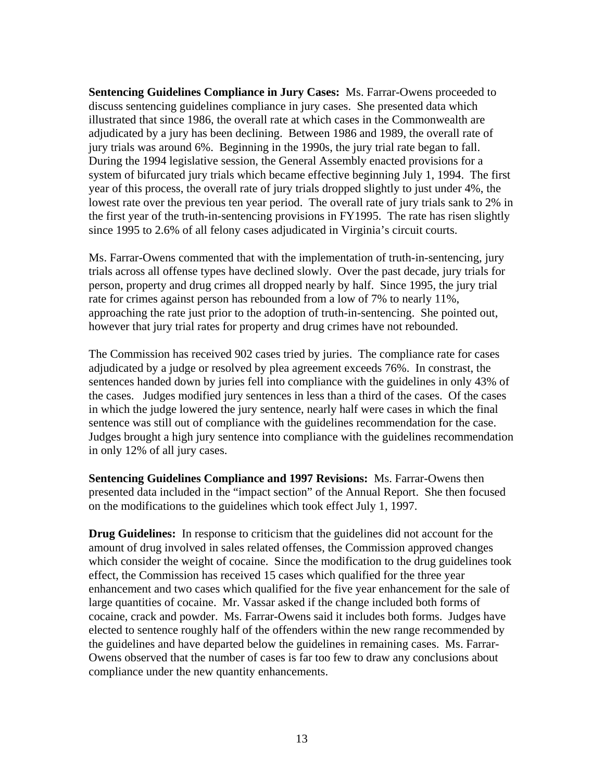**Sentencing Guidelines Compliance in Jury Cases:** Ms. Farrar-Owens proceeded to discuss sentencing guidelines compliance in jury cases. She presented data which illustrated that since 1986, the overall rate at which cases in the Commonwealth are adjudicated by a jury has been declining. Between 1986 and 1989, the overall rate of jury trials was around 6%. Beginning in the 1990s, the jury trial rate began to fall. During the 1994 legislative session, the General Assembly enacted provisions for a system of bifurcated jury trials which became effective beginning July 1, 1994. The first year of this process, the overall rate of jury trials dropped slightly to just under 4%, the lowest rate over the previous ten year period. The overall rate of jury trials sank to 2% in the first year of the truth-in-sentencing provisions in FY1995. The rate has risen slightly since 1995 to 2.6% of all felony cases adjudicated in Virginia's circuit courts.

Ms. Farrar-Owens commented that with the implementation of truth-in-sentencing, jury trials across all offense types have declined slowly. Over the past decade, jury trials for person, property and drug crimes all dropped nearly by half. Since 1995, the jury trial rate for crimes against person has rebounded from a low of 7% to nearly 11%, approaching the rate just prior to the adoption of truth-in-sentencing. She pointed out, however that jury trial rates for property and drug crimes have not rebounded.

The Commission has received 902 cases tried by juries. The compliance rate for cases adjudicated by a judge or resolved by plea agreement exceeds 76%. In constrast, the sentences handed down by juries fell into compliance with the guidelines in only 43% of the cases. Judges modified jury sentences in less than a third of the cases. Of the cases in which the judge lowered the jury sentence, nearly half were cases in which the final sentence was still out of compliance with the guidelines recommendation for the case. Judges brought a high jury sentence into compliance with the guidelines recommendation in only 12% of all jury cases.

**Sentencing Guidelines Compliance and 1997 Revisions:** Ms. Farrar-Owens then presented data included in the "impact section" of the Annual Report. She then focused on the modifications to the guidelines which took effect July 1, 1997.

**Drug Guidelines:** In response to criticism that the guidelines did not account for the amount of drug involved in sales related offenses, the Commission approved changes which consider the weight of cocaine. Since the modification to the drug guidelines took effect, the Commission has received 15 cases which qualified for the three year enhancement and two cases which qualified for the five year enhancement for the sale of large quantities of cocaine. Mr. Vassar asked if the change included both forms of cocaine, crack and powder. Ms. Farrar-Owens said it includes both forms. Judges have elected to sentence roughly half of the offenders within the new range recommended by the guidelines and have departed below the guidelines in remaining cases. Ms. Farrar-Owens observed that the number of cases is far too few to draw any conclusions about compliance under the new quantity enhancements.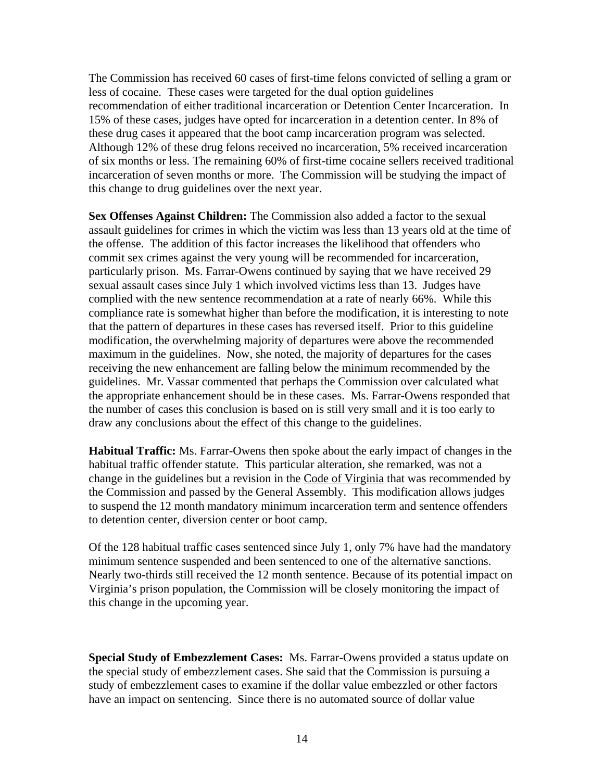The Commission has received 60 cases of first-time felons convicted of selling a gram or less of cocaine. These cases were targeted for the dual option guidelines recommendation of either traditional incarceration or Detention Center Incarceration. In 15% of these cases, judges have opted for incarceration in a detention center. In 8% of these drug cases it appeared that the boot camp incarceration program was selected. Although 12% of these drug felons received no incarceration, 5% received incarceration of six months or less. The remaining 60% of first-time cocaine sellers received traditional incarceration of seven months or more. The Commission will be studying the impact of this change to drug guidelines over the next year.

**Sex Offenses Against Children:** The Commission also added a factor to the sexual assault guidelines for crimes in which the victim was less than 13 years old at the time of the offense. The addition of this factor increases the likelihood that offenders who commit sex crimes against the very young will be recommended for incarceration, particularly prison. Ms. Farrar-Owens continued by saying that we have received 29 sexual assault cases since July 1 which involved victims less than 13. Judges have complied with the new sentence recommendation at a rate of nearly 66%. While this compliance rate is somewhat higher than before the modification, it is interesting to note that the pattern of departures in these cases has reversed itself. Prior to this guideline modification, the overwhelming majority of departures were above the recommended maximum in the guidelines. Now, she noted, the majority of departures for the cases receiving the new enhancement are falling below the minimum recommended by the guidelines. Mr. Vassar commented that perhaps the Commission over calculated what the appropriate enhancement should be in these cases. Ms. Farrar-Owens responded that the number of cases this conclusion is based on is still very small and it is too early to draw any conclusions about the effect of this change to the guidelines.

**Habitual Traffic:** Ms. Farrar-Owens then spoke about the early impact of changes in the habitual traffic offender statute. This particular alteration, she remarked, was not a change in the guidelines but a revision in the Code of Virginia that was recommended by the Commission and passed by the General Assembly. This modification allows judges to suspend the 12 month mandatory minimum incarceration term and sentence offenders to detention center, diversion center or boot camp.

Of the 128 habitual traffic cases sentenced since July 1, only 7% have had the mandatory minimum sentence suspended and been sentenced to one of the alternative sanctions. Nearly two-thirds still received the 12 month sentence. Because of its potential impact on Virginia's prison population, the Commission will be closely monitoring the impact of this change in the upcoming year.

**Special Study of Embezzlement Cases:** Ms. Farrar-Owens provided a status update on the special study of embezzlement cases. She said that the Commission is pursuing a study of embezzlement cases to examine if the dollar value embezzled or other factors have an impact on sentencing. Since there is no automated source of dollar value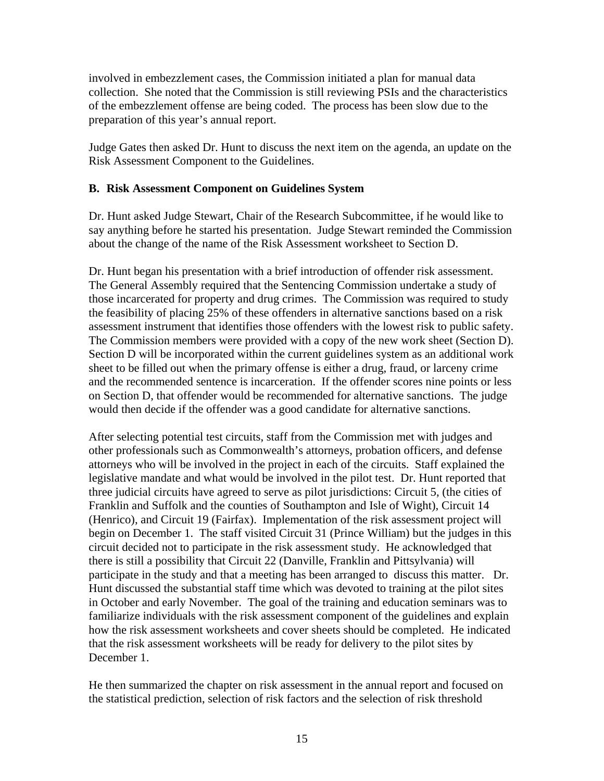involved in embezzlement cases, the Commission initiated a plan for manual data collection. She noted that the Commission is still reviewing PSIs and the characteristics of the embezzlement offense are being coded. The process has been slow due to the preparation of this year's annual report.

Judge Gates then asked Dr. Hunt to discuss the next item on the agenda, an update on the Risk Assessment Component to the Guidelines.

# **B. Risk Assessment Component on Guidelines System**

Dr. Hunt asked Judge Stewart, Chair of the Research Subcommittee, if he would like to say anything before he started his presentation. Judge Stewart reminded the Commission about the change of the name of the Risk Assessment worksheet to Section D.

Dr. Hunt began his presentation with a brief introduction of offender risk assessment. The General Assembly required that the Sentencing Commission undertake a study of those incarcerated for property and drug crimes. The Commission was required to study the feasibility of placing 25% of these offenders in alternative sanctions based on a risk assessment instrument that identifies those offenders with the lowest risk to public safety. The Commission members were provided with a copy of the new work sheet (Section D). Section D will be incorporated within the current guidelines system as an additional work sheet to be filled out when the primary offense is either a drug, fraud, or larceny crime and the recommended sentence is incarceration. If the offender scores nine points or less on Section D, that offender would be recommended for alternative sanctions. The judge would then decide if the offender was a good candidate for alternative sanctions.

After selecting potential test circuits, staff from the Commission met with judges and other professionals such as Commonwealth's attorneys, probation officers, and defense attorneys who will be involved in the project in each of the circuits. Staff explained the legislative mandate and what would be involved in the pilot test. Dr. Hunt reported that three judicial circuits have agreed to serve as pilot jurisdictions: Circuit 5, (the cities of Franklin and Suffolk and the counties of Southampton and Isle of Wight), Circuit 14 (Henrico), and Circuit 19 (Fairfax). Implementation of the risk assessment project will begin on December 1. The staff visited Circuit 31 (Prince William) but the judges in this circuit decided not to participate in the risk assessment study. He acknowledged that there is still a possibility that Circuit 22 (Danville, Franklin and Pittsylvania) will participate in the study and that a meeting has been arranged to discuss this matter. Dr. Hunt discussed the substantial staff time which was devoted to training at the pilot sites in October and early November. The goal of the training and education seminars was to familiarize individuals with the risk assessment component of the guidelines and explain how the risk assessment worksheets and cover sheets should be completed. He indicated that the risk assessment worksheets will be ready for delivery to the pilot sites by December 1.

He then summarized the chapter on risk assessment in the annual report and focused on the statistical prediction, selection of risk factors and the selection of risk threshold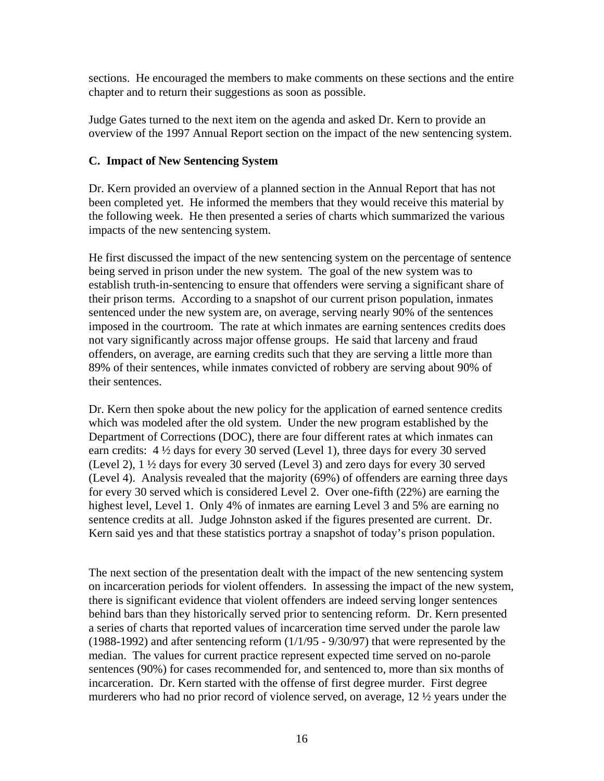sections. He encouraged the members to make comments on these sections and the entire chapter and to return their suggestions as soon as possible.

Judge Gates turned to the next item on the agenda and asked Dr. Kern to provide an overview of the 1997 Annual Report section on the impact of the new sentencing system.

### **C. Impact of New Sentencing System**

Dr. Kern provided an overview of a planned section in the Annual Report that has not been completed yet. He informed the members that they would receive this material by the following week. He then presented a series of charts which summarized the various impacts of the new sentencing system.

He first discussed the impact of the new sentencing system on the percentage of sentence being served in prison under the new system. The goal of the new system was to establish truth-in-sentencing to ensure that offenders were serving a significant share of their prison terms. According to a snapshot of our current prison population, inmates sentenced under the new system are, on average, serving nearly 90% of the sentences imposed in the courtroom. The rate at which inmates are earning sentences credits does not vary significantly across major offense groups. He said that larceny and fraud offenders, on average, are earning credits such that they are serving a little more than 89% of their sentences, while inmates convicted of robbery are serving about 90% of their sentences.

Dr. Kern then spoke about the new policy for the application of earned sentence credits which was modeled after the old system. Under the new program established by the Department of Corrections (DOC), there are four different rates at which inmates can earn credits: 4 ½ days for every 30 served (Level 1), three days for every 30 served (Level 2), 1 ½ days for every 30 served (Level 3) and zero days for every 30 served (Level 4). Analysis revealed that the majority (69%) of offenders are earning three days for every 30 served which is considered Level 2. Over one-fifth (22%) are earning the highest level, Level 1. Only 4% of inmates are earning Level 3 and 5% are earning no sentence credits at all. Judge Johnston asked if the figures presented are current. Dr. Kern said yes and that these statistics portray a snapshot of today's prison population.

The next section of the presentation dealt with the impact of the new sentencing system on incarceration periods for violent offenders. In assessing the impact of the new system, there is significant evidence that violent offenders are indeed serving longer sentences behind bars than they historically served prior to sentencing reform. Dr. Kern presented a series of charts that reported values of incarceration time served under the parole law (1988-1992) and after sentencing reform (1/1/95 - 9/30/97) that were represented by the median. The values for current practice represent expected time served on no-parole sentences (90%) for cases recommended for, and sentenced to, more than six months of incarceration. Dr. Kern started with the offense of first degree murder. First degree murderers who had no prior record of violence served, on average, 12 ½ years under the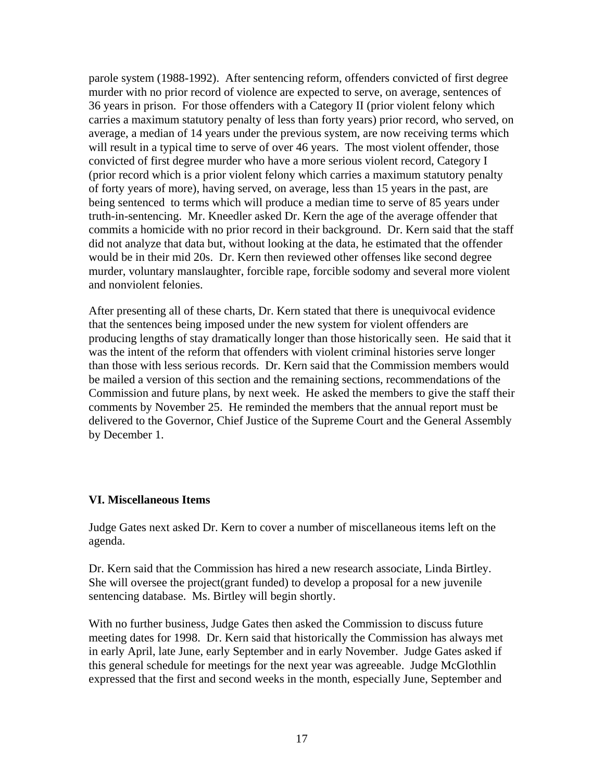parole system (1988-1992). After sentencing reform, offenders convicted of first degree murder with no prior record of violence are expected to serve, on average, sentences of 36 years in prison. For those offenders with a Category II (prior violent felony which carries a maximum statutory penalty of less than forty years) prior record, who served, on average, a median of 14 years under the previous system, are now receiving terms which will result in a typical time to serve of over 46 years. The most violent offender, those convicted of first degree murder who have a more serious violent record, Category I (prior record which is a prior violent felony which carries a maximum statutory penalty of forty years of more), having served, on average, less than 15 years in the past, are being sentenced to terms which will produce a median time to serve of 85 years under truth-in-sentencing. Mr. Kneedler asked Dr. Kern the age of the average offender that commits a homicide with no prior record in their background. Dr. Kern said that the staff did not analyze that data but, without looking at the data, he estimated that the offender would be in their mid 20s. Dr. Kern then reviewed other offenses like second degree murder, voluntary manslaughter, forcible rape, forcible sodomy and several more violent and nonviolent felonies.

After presenting all of these charts, Dr. Kern stated that there is unequivocal evidence that the sentences being imposed under the new system for violent offenders are producing lengths of stay dramatically longer than those historically seen. He said that it was the intent of the reform that offenders with violent criminal histories serve longer than those with less serious records. Dr. Kern said that the Commission members would be mailed a version of this section and the remaining sections, recommendations of the Commission and future plans, by next week. He asked the members to give the staff their comments by November 25. He reminded the members that the annual report must be delivered to the Governor, Chief Justice of the Supreme Court and the General Assembly by December 1.

### **VI. Miscellaneous Items**

Judge Gates next asked Dr. Kern to cover a number of miscellaneous items left on the agenda.

Dr. Kern said that the Commission has hired a new research associate, Linda Birtley. She will oversee the project(grant funded) to develop a proposal for a new juvenile sentencing database. Ms. Birtley will begin shortly.

With no further business, Judge Gates then asked the Commission to discuss future meeting dates for 1998. Dr. Kern said that historically the Commission has always met in early April, late June, early September and in early November. Judge Gates asked if this general schedule for meetings for the next year was agreeable. Judge McGlothlin expressed that the first and second weeks in the month, especially June, September and